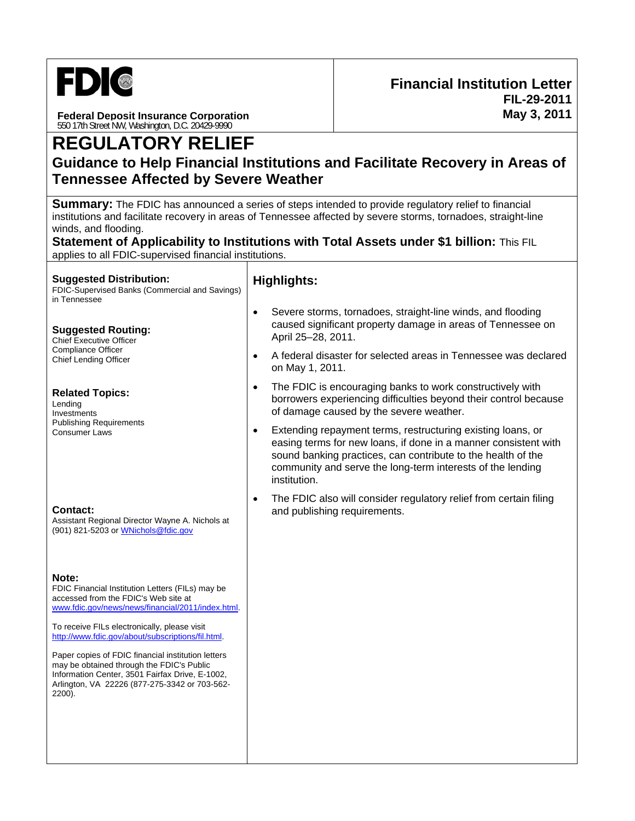

**Federal Deposit Insurance Corporation**  550 17th Street NW, Washington, D.C. 20429-9990

# **Guidance to Help Financial Institutions and Facilitate Recovery in Areas of Tennessee Affected by Severe Weather**

**Summary:** The FDIC has announced a series of steps intended to provide regulatory relief to financial institutions and facilitate recovery in areas of Tennessee affected by severe storms, tornadoes, straight-line winds, and flooding.

**Statement of Applicability to Institutions with Total Assets under \$1 billion:** This FIL applies to all FDIC-supervised financial institutions.

#### **Suggested Distribution:**

FDIC-Supervised Banks (Commercial and Savings) in Tennessee

#### **Suggested Routing:**

Chief Executive Officer Compliance Officer Chief Lending Officer

#### **Related Topics:**

Lending Investments Publishing Requirements Consumer Laws

#### **Contact:**

Assistant Regional Director Wayne A. Nichols at (901) 821-5203 or WNichols@fdic.gov

#### **Note:**

FDIC Financial Institution Letters (FILs) may be accessed from the FDIC's Web site at www.fdic.gov/news/news/financial/2011/index.html.

To receive FILs electronically, please visit http://www.fdic.gov/about/subscriptions/fil.html.

Paper copies of FDIC financial institution letters may be obtained through the FDIC's Public Information Center, 3501 Fairfax Drive, E-1002, Arlington, VA 22226 (877-275-3342 or 703-562- 2200).

### **Highlights:**

- Severe storms, tornadoes, straight-line winds, and flooding caused significant property damage in areas of Tennessee on April 25–28, 2011.
- A federal disaster for selected areas in Tennessee was declared on May 1, 2011.
- The FDIC is encouraging banks to work constructively with borrowers experiencing difficulties beyond their control because of damage caused by the severe weather.
- Extending repayment terms, restructuring existing loans, or easing terms for new loans, if done in a manner consistent with sound banking practices, can contribute to the health of the community and serve the long-term interests of the lending institution.
- The FDIC also will consider regulatory relief from certain filing and publishing requirements.